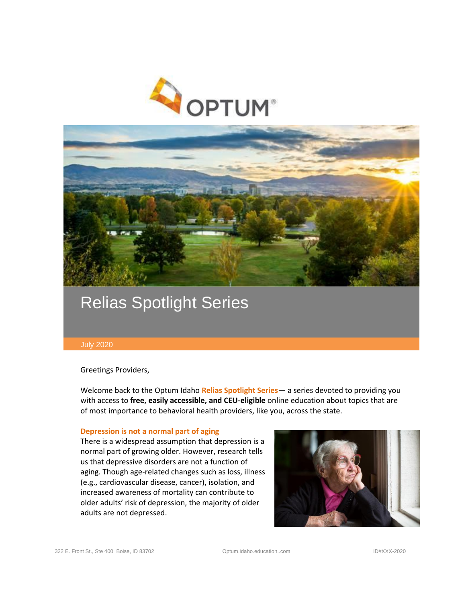



# Relias Spotlight Series

#### July 2020

Greetings Providers,

Welcome back to the Optum Idaho **Relias Spotlight Series**— a series devoted to providing you with access to **free, easily accessible, and CEU-eligible** online education about topics that are of most importance to behavioral health providers, like you, across the state.

#### **Depression is not a normal part of aging**

There is a widespread assumption that depression is a normal part of growing older. However, research tells us that depressive disorders are not a function of aging. Though age-related changes such as loss, illness (e.g., cardiovascular disease, cancer), isolation, and increased awareness of mortality can contribute to older adults' risk of depression, the majority of older adults are not depressed.

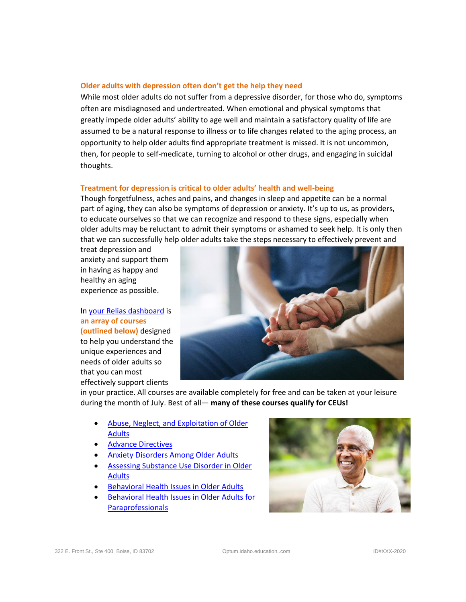### **Older adults with depression often don't get the help they need**

While most older adults do not suffer from a depressive disorder, for those who do, symptoms often are misdiagnosed and undertreated. When emotional and physical symptoms that greatly impede older adults' ability to age well and maintain a satisfactory quality of life are assumed to be a natural response to illness or to life changes related to the aging process, an opportunity to help older adults find appropriate treatment is missed. It is not uncommon, then, for people to self-medicate, turning to alcohol or other drugs, and engaging in suicidal thoughts.

## **Treatment for depression is critical to older adults' health and well-being**

Though forgetfulness, aches and pains, and changes in sleep and appetite can be a normal part of aging, they can also be symptoms of depression or anxiety. It's up to us, as providers, to educate ourselves so that we can recognize and respond to these signs, especially when older adults may be reluctant to admit their symptoms or ashamed to seek help. It is only then that we can successfully help older adults take the steps necessary to effectively prevent and

treat depression and anxiety and support them in having as happy and healthy an aging experience as possible.

In [your Relias dashboard](https://optumidaho.training.reliaslearning.com/) is **an array of courses (outlined below)** designed to help you understand the unique experiences and needs of older adults so that you can most effectively support clients



in your practice. All courses are available completely for free and can be taken at your leisure during the month of July. Best of all— **many of these courses qualify for CEUs!**

- [Abuse, Neglect, and Exploitation of Older](https://optumidaho.training.reliaslearning.com/Learning/Catalog.aspx?CourseCode=REL-BHC-0-ANEOA)  [Adults](https://optumidaho.training.reliaslearning.com/Learning/Catalog.aspx?CourseCode=REL-BHC-0-ANEOA)
- [Advance Directives](https://optumidaho.training.reliaslearning.com/Learning/Catalog.aspx?CourseCode=REL-ALL-0-ADVDIR)
- [Anxiety Disorders Among Older Adults](https://optumidaho.training.reliaslearning.com/Learning/Catalog.aspx?CourseCode=REL-HHS-MHA-ADOA-V2)
- [Assessing Substance Use Disorder in Older](https://optumidaho.training.reliaslearning.com/Learning/Catalog.aspx?CourseCode=REL-HHS-0-DSUIOA-V3)  **[Adults](https://optumidaho.training.reliaslearning.com/Learning/Catalog.aspx?CourseCode=REL-HHS-0-DSUIOA-V3)**
- [Behavioral Health Issues in Older Adults](https://optumidaho.training.reliaslearning.com/Learning/Catalog.aspx?CourseCode=REL-HHS-0-MHIOA-V2)
- **Behavioral Health Issues in Older Adults for [Paraprofessionals](https://optumidaho.training.reliaslearning.com/Learning/Catalog.aspx?CourseCode=REL-HHS-0-BHIOAPP-V2)**